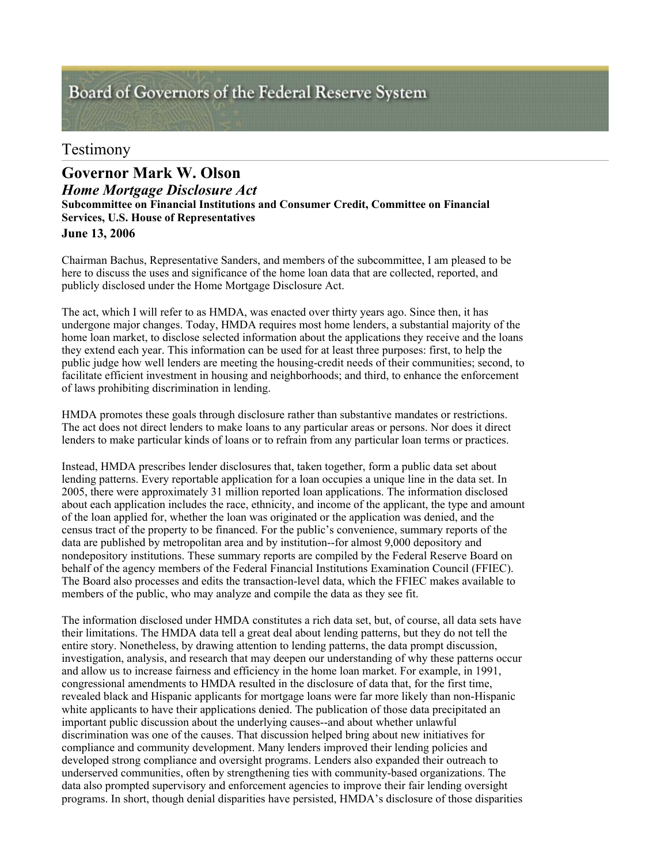# Board of Governors of the Federal Reserve System

## Testimony

## *Home Mortgage Disclosure Act* **Governor Mark W. Olson**

**Subcommittee on Financial Institutions and Consumer Credit, Committee on Financial Services, U.S. House of Representatives**

**June 13, 2006**

Chairman Bachus, Representative Sanders, and members of the subcommittee, I am pleased to be here to discuss the uses and significance of the home loan data that are collected, reported, and publicly disclosed under the Home Mortgage Disclosure Act.

The act, which I will refer to as HMDA, was enacted over thirty years ago. Since then, it has undergone major changes. Today, HMDA requires most home lenders, a substantial majority of the home loan market, to disclose selected information about the applications they receive and the loans they extend each year. This information can be used for at least three purposes: first, to help the public judge how well lenders are meeting the housing-credit needs of their communities; second, to facilitate efficient investment in housing and neighborhoods; and third, to enhance the enforcement of laws prohibiting discrimination in lending.

HMDA promotes these goals through disclosure rather than substantive mandates or restrictions. The act does not direct lenders to make loans to any particular areas or persons. Nor does it direct lenders to make particular kinds of loans or to refrain from any particular loan terms or practices.

Instead, HMDA prescribes lender disclosures that, taken together, form a public data set about lending patterns. Every reportable application for a loan occupies a unique line in the data set. In 2005, there were approximately 31 million reported loan applications. The information disclosed about each application includes the race, ethnicity, and income of the applicant, the type and amount of the loan applied for, whether the loan was originated or the application was denied, and the census tract of the property to be financed. For the public's convenience, summary reports of the data are published by metropolitan area and by institution--for almost 9,000 depository and nondepository institutions. These summary reports are compiled by the Federal Reserve Board on behalf of the agency members of the Federal Financial Institutions Examination Council (FFIEC). The Board also processes and edits the transaction-level data, which the FFIEC makes available to members of the public, who may analyze and compile the data as they see fit.

The information disclosed under HMDA constitutes a rich data set, but, of course, all data sets have their limitations. The HMDA data tell a great deal about lending patterns, but they do not tell the entire story. Nonetheless, by drawing attention to lending patterns, the data prompt discussion, investigation, analysis, and research that may deepen our understanding of why these patterns occur and allow us to increase fairness and efficiency in the home loan market. For example, in 1991, congressional amendments to HMDA resulted in the disclosure of data that, for the first time, revealed black and Hispanic applicants for mortgage loans were far more likely than non-Hispanic white applicants to have their applications denied. The publication of those data precipitated an important public discussion about the underlying causes--and about whether unlawful discrimination was one of the causes. That discussion helped bring about new initiatives for compliance and community development. Many lenders improved their lending policies and developed strong compliance and oversight programs. Lenders also expanded their outreach to underserved communities, often by strengthening ties with community-based organizations. The data also prompted supervisory and enforcement agencies to improve their fair lending oversight programs. In short, though denial disparities have persisted, HMDA's disclosure of those disparities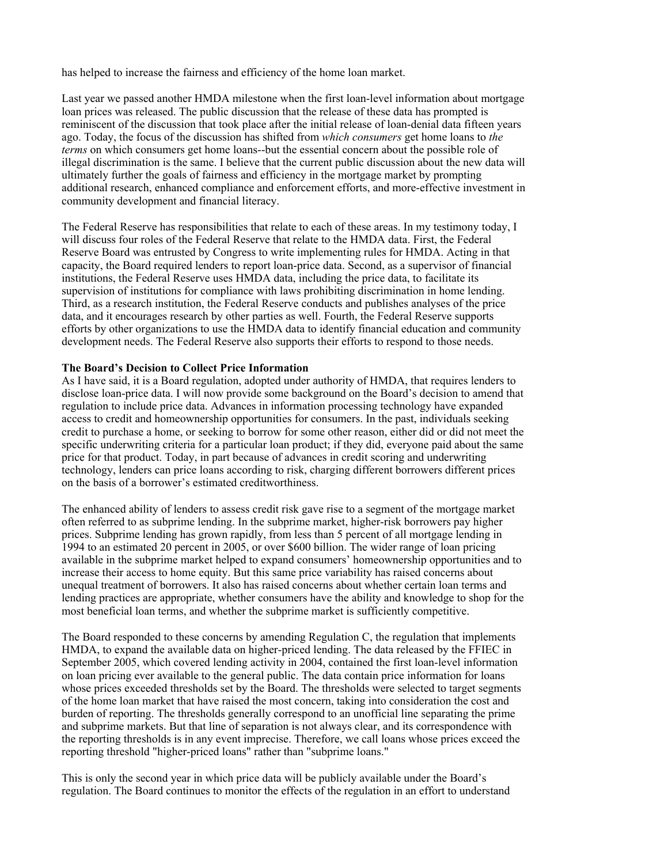has helped to increase the fairness and efficiency of the home loan market.

Last year we passed another HMDA milestone when the first loan-level information about mortgage loan prices was released. The public discussion that the release of these data has prompted is reminiscent of the discussion that took place after the initial release of loan-denial data fifteen years ago. Today, the focus of the discussion has shifted from *which consumers* get home loans to *the terms* on which consumers get home loans--but the essential concern about the possible role of illegal discrimination is the same. I believe that the current public discussion about the new data will ultimately further the goals of fairness and efficiency in the mortgage market by prompting additional research, enhanced compliance and enforcement efforts, and more-effective investment in community development and financial literacy.

The Federal Reserve has responsibilities that relate to each of these areas. In my testimony today, I will discuss four roles of the Federal Reserve that relate to the HMDA data. First, the Federal Reserve Board was entrusted by Congress to write implementing rules for HMDA. Acting in that capacity, the Board required lenders to report loan-price data. Second, as a supervisor of financial institutions, the Federal Reserve uses HMDA data, including the price data, to facilitate its supervision of institutions for compliance with laws prohibiting discrimination in home lending. Third, as a research institution, the Federal Reserve conducts and publishes analyses of the price data, and it encourages research by other parties as well. Fourth, the Federal Reserve supports efforts by other organizations to use the HMDA data to identify financial education and community development needs. The Federal Reserve also supports their efforts to respond to those needs.

#### **The Board's Decision to Collect Price Information**

As I have said, it is a Board regulation, adopted under authority of HMDA, that requires lenders to disclose loan-price data. I will now provide some background on the Board's decision to amend that regulation to include price data. Advances in information processing technology have expanded access to credit and homeownership opportunities for consumers. In the past, individuals seeking credit to purchase a home, or seeking to borrow for some other reason, either did or did not meet the specific underwriting criteria for a particular loan product; if they did, everyone paid about the same price for that product. Today, in part because of advances in credit scoring and underwriting technology, lenders can price loans according to risk, charging different borrowers different prices on the basis of a borrower's estimated creditworthiness.

The enhanced ability of lenders to assess credit risk gave rise to a segment of the mortgage market often referred to as subprime lending. In the subprime market, higher-risk borrowers pay higher prices. Subprime lending has grown rapidly, from less than 5 percent of all mortgage lending in 1994 to an estimated 20 percent in 2005, or over \$600 billion. The wider range of loan pricing available in the subprime market helped to expand consumers' homeownership opportunities and to increase their access to home equity. But this same price variability has raised concerns about unequal treatment of borrowers. It also has raised concerns about whether certain loan terms and lending practices are appropriate, whether consumers have the ability and knowledge to shop for the most beneficial loan terms, and whether the subprime market is sufficiently competitive.

The Board responded to these concerns by amending Regulation C, the regulation that implements HMDA, to expand the available data on higher-priced lending. The data released by the FFIEC in September 2005, which covered lending activity in 2004, contained the first loan-level information on loan pricing ever available to the general public. The data contain price information for loans whose prices exceeded thresholds set by the Board. The thresholds were selected to target segments of the home loan market that have raised the most concern, taking into consideration the cost and burden of reporting. The thresholds generally correspond to an unofficial line separating the prime and subprime markets. But that line of separation is not always clear, and its correspondence with the reporting thresholds is in any event imprecise. Therefore, we call loans whose prices exceed the reporting threshold "higher-priced loans" rather than "subprime loans."

This is only the second year in which price data will be publicly available under the Board's regulation. The Board continues to monitor the effects of the regulation in an effort to understand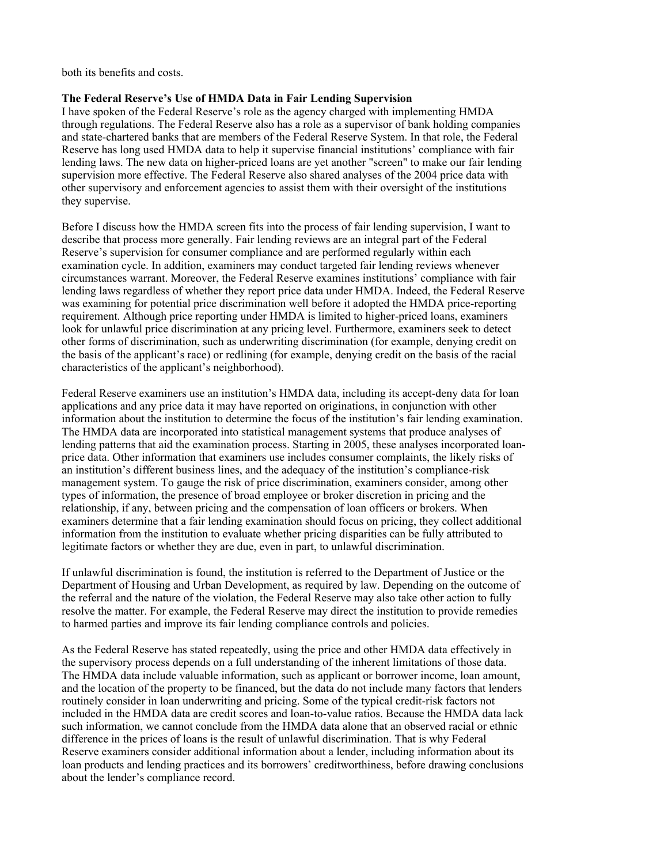both its benefits and costs.

#### **The Federal Reserve's Use of HMDA Data in Fair Lending Supervision**

I have spoken of the Federal Reserve's role as the agency charged with implementing HMDA through regulations. The Federal Reserve also has a role as a supervisor of bank holding companies and state-chartered banks that are members of the Federal Reserve System. In that role, the Federal Reserve has long used HMDA data to help it supervise financial institutions' compliance with fair lending laws. The new data on higher-priced loans are yet another "screen" to make our fair lending supervision more effective. The Federal Reserve also shared analyses of the 2004 price data with other supervisory and enforcement agencies to assist them with their oversight of the institutions they supervise.

Before I discuss how the HMDA screen fits into the process of fair lending supervision, I want to describe that process more generally. Fair lending reviews are an integral part of the Federal Reserve's supervision for consumer compliance and are performed regularly within each examination cycle. In addition, examiners may conduct targeted fair lending reviews whenever circumstances warrant. Moreover, the Federal Reserve examines institutions' compliance with fair lending laws regardless of whether they report price data under HMDA. Indeed, the Federal Reserve was examining for potential price discrimination well before it adopted the HMDA price-reporting requirement. Although price reporting under HMDA is limited to higher-priced loans, examiners look for unlawful price discrimination at any pricing level. Furthermore, examiners seek to detect other forms of discrimination, such as underwriting discrimination (for example, denying credit on the basis of the applicant's race) or redlining (for example, denying credit on the basis of the racial characteristics of the applicant's neighborhood).

Federal Reserve examiners use an institution's HMDA data, including its accept-deny data for loan applications and any price data it may have reported on originations, in conjunction with other information about the institution to determine the focus of the institution's fair lending examination. The HMDA data are incorporated into statistical management systems that produce analyses of lending patterns that aid the examination process. Starting in 2005, these analyses incorporated loanprice data. Other information that examiners use includes consumer complaints, the likely risks of an institution's different business lines, and the adequacy of the institution's compliance-risk management system. To gauge the risk of price discrimination, examiners consider, among other types of information, the presence of broad employee or broker discretion in pricing and the relationship, if any, between pricing and the compensation of loan officers or brokers. When examiners determine that a fair lending examination should focus on pricing, they collect additional information from the institution to evaluate whether pricing disparities can be fully attributed to legitimate factors or whether they are due, even in part, to unlawful discrimination.

If unlawful discrimination is found, the institution is referred to the Department of Justice or the Department of Housing and Urban Development, as required by law. Depending on the outcome of the referral and the nature of the violation, the Federal Reserve may also take other action to fully resolve the matter. For example, the Federal Reserve may direct the institution to provide remedies to harmed parties and improve its fair lending compliance controls and policies.

As the Federal Reserve has stated repeatedly, using the price and other HMDA data effectively in the supervisory process depends on a full understanding of the inherent limitations of those data. The HMDA data include valuable information, such as applicant or borrower income, loan amount, and the location of the property to be financed, but the data do not include many factors that lenders routinely consider in loan underwriting and pricing. Some of the typical credit-risk factors not included in the HMDA data are credit scores and loan-to-value ratios. Because the HMDA data lack such information, we cannot conclude from the HMDA data alone that an observed racial or ethnic difference in the prices of loans is the result of unlawful discrimination. That is why Federal Reserve examiners consider additional information about a lender, including information about its loan products and lending practices and its borrowers' creditworthiness, before drawing conclusions about the lender's compliance record.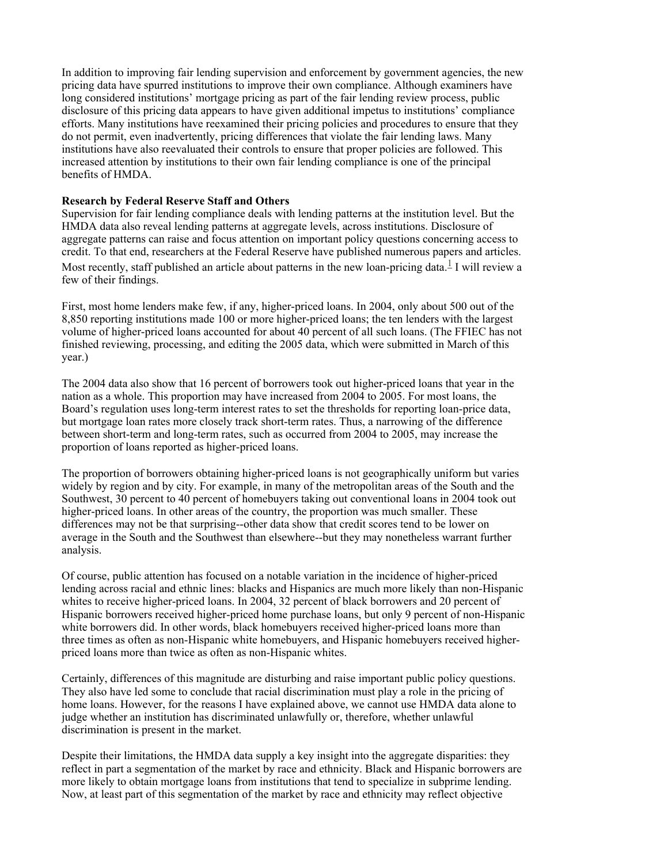In addition to improving fair lending supervision and enforcement by government agencies, the new pricing data have spurred institutions to improve their own compliance. Although examiners have long considered institutions' mortgage pricing as part of the fair lending review process, public disclosure of this pricing data appears to have given additional impetus to institutions' compliance efforts. Many institutions have reexamined their pricing policies and procedures to ensure that they do not permit, even inadvertently, pricing differences that violate the fair lending laws. Many institutions have also reevaluated their controls to ensure that proper policies are followed. This increased attention by institutions to their own fair lending compliance is one of the principal benefits of HMDA.

### **Research by Federal Reserve Staff and Others**

Supervision for fair lending compliance deals with lending patterns at the institution level. But the HMDA data also reveal lending patterns at aggregate levels, across institutions. Disclosure of aggregate patterns can raise and focus attention on important policy questions concerning access to credit. To that end, researchers at the Federal Reserve have published numerous papers and articles. Most recently, staff published an article about patterns in the new loan-pricing data.<sup>1</sup> I will review a few of their findings.

First, most home lenders make few, if any, higher-priced loans. In 2004, only about 500 out of the 8,850 reporting institutions made 100 or more higher-priced loans; the ten lenders with the largest volume of higher-priced loans accounted for about 40 percent of all such loans. (The FFIEC has not finished reviewing, processing, and editing the 2005 data, which were submitted in March of this year.)

The 2004 data also show that 16 percent of borrowers took out higher-priced loans that year in the nation as a whole. This proportion may have increased from 2004 to 2005. For most loans, the Board's regulation uses long-term interest rates to set the thresholds for reporting loan-price data, but mortgage loan rates more closely track short-term rates. Thus, a narrowing of the difference between short-term and long-term rates, such as occurred from 2004 to 2005, may increase the proportion of loans reported as higher-priced loans.

The proportion of borrowers obtaining higher-priced loans is not geographically uniform but varies widely by region and by city. For example, in many of the metropolitan areas of the South and the Southwest, 30 percent to 40 percent of homebuyers taking out conventional loans in 2004 took out higher-priced loans. In other areas of the country, the proportion was much smaller. These differences may not be that surprising--other data show that credit scores tend to be lower on average in the South and the Southwest than elsewhere--but they may nonetheless warrant further analysis.

Of course, public attention has focused on a notable variation in the incidence of higher-priced lending across racial and ethnic lines: blacks and Hispanics are much more likely than non-Hispanic whites to receive higher-priced loans. In 2004, 32 percent of black borrowers and 20 percent of Hispanic borrowers received higher-priced home purchase loans, but only 9 percent of non-Hispanic white borrowers did. In other words, black homebuyers received higher-priced loans more than three times as often as non-Hispanic white homebuyers, and Hispanic homebuyers received higherpriced loans more than twice as often as non-Hispanic whites.

Certainly, differences of this magnitude are disturbing and raise important public policy questions. They also have led some to conclude that racial discrimination must play a role in the pricing of home loans. However, for the reasons I have explained above, we cannot use HMDA data alone to judge whether an institution has discriminated unlawfully or, therefore, whether unlawful discrimination is present in the market.

Despite their limitations, the HMDA data supply a key insight into the aggregate disparities: they reflect in part a segmentation of the market by race and ethnicity. Black and Hispanic borrowers are more likely to obtain mortgage loans from institutions that tend to specialize in subprime lending. Now, at least part of this segmentation of the market by race and ethnicity may reflect objective